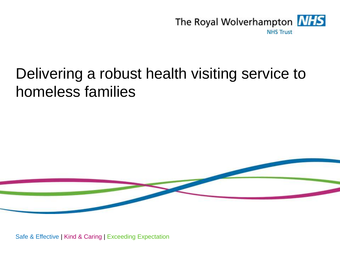

#### Delivering a robust health visiting service to homeless families



Safe & Effective | Kind & Caring | Exceeding Expectation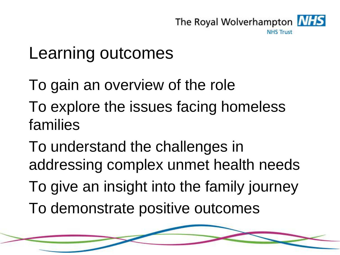

#### Learning outcomes

- To gain an overview of the role To explore the issues facing homeless families
- To understand the challenges in addressing complex unmet health needs To give an insight into the family journey To demonstrate positive outcomes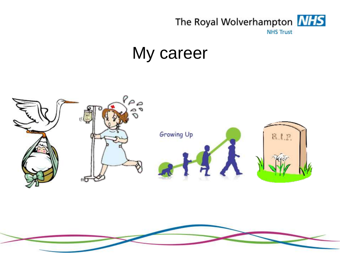

#### My career

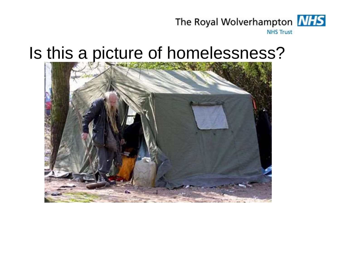

#### Is this a picture of homelessness?

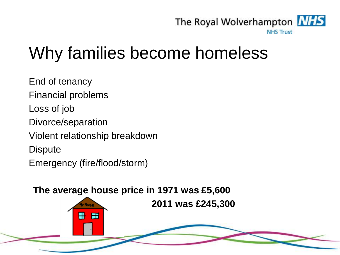

### Why families become homeless

End of tenancy Financial problems Loss of job Divorce/separation Violent relationship breakdown **Dispute** Emergency (fire/flood/storm)

y Huise

н

H

**The average house price in 1971 was £5,600**

**2011 was £245,300**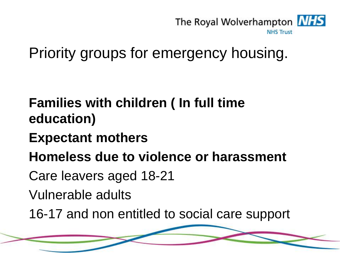

Priority groups for emergency housing.

**Families with children ( In full time education)**

- **Expectant mothers**
- **Homeless due to violence or harassment**

Care leavers aged 18-21

Vulnerable adults

16-17 and non entitled to social care support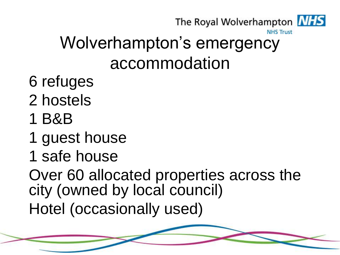

#### **NHS Trust**

### Wolverhampton's emergency accommodation

- 6 refuges
- 2 hostels
- 1 B&B
- 1 guest house
- 1 safe house

Over 60 allocated properties across the city (owned by local council) Hotel (occasionally used)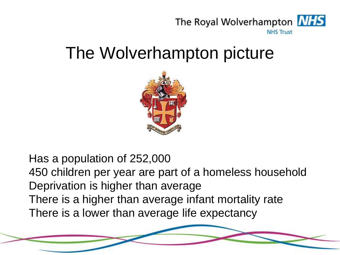

#### The Wolverhampton picture



Has a population of 252,000

450 children per year are part of a homeless household Deprivation is higher than average There is a higher than average infant mortality rate

There is a lower than average life expectancy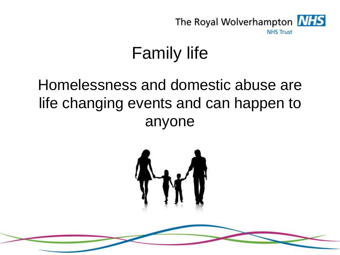

### Family life

#### Homelessness and domestic abuse are life changing events and can happen to anyone

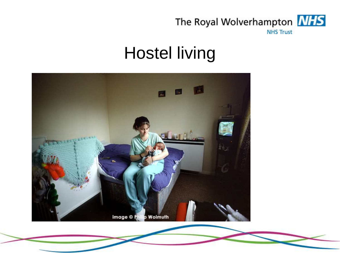

### Hostel living

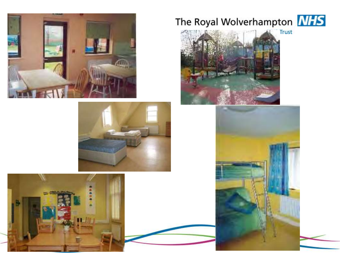









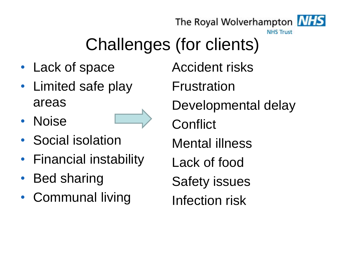## Challenges (for clients)

- Lack of space
- Limited safe play areas
- Noise



- Social isolation
- Financial instability
- Bed sharing
- Communal living

Accident risks Frustration Developmental delay Conflict Mental illness Lack of food Safety issues Infection risk

The Royal Wolverhampton **NHS** 

**NHS Trust**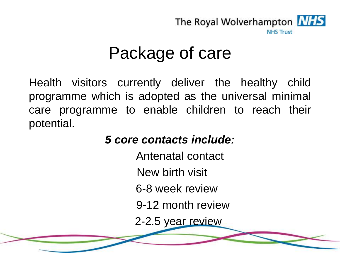

### Package of care

Health visitors currently deliver the healthy child programme which is adopted as the universal minimal care programme to enable children to reach their potential.

#### *5 core contacts include:*

Antenatal contact

New birth visit

6-8 week review

9-12 month review

2-2.5 year review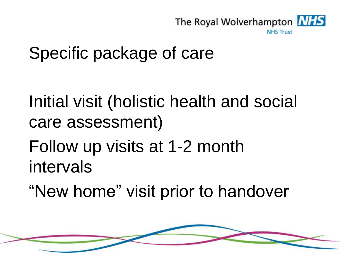

#### Specific package of care

Initial visit (holistic health and social care assessment)

Follow up visits at 1-2 month intervals

"New home" visit prior to handover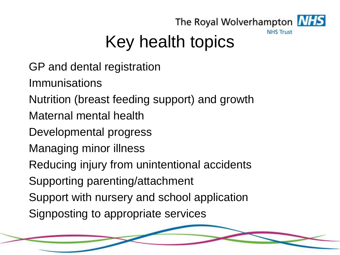

#### **NHS Trust**

### Key health topics

- GP and dental registration
- **Immunisations**
- Nutrition (breast feeding support) and growth
- Maternal mental health
- Developmental progress
- Managing minor illness
- Reducing injury from unintentional accidents
- Supporting parenting/attachment
- Support with nursery and school application
- Signposting to appropriate services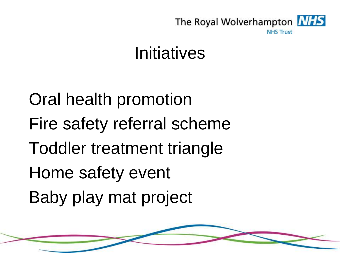

### **Initiatives**

Oral health promotion Fire safety referral scheme Toddler treatment triangle Home safety event Baby play mat project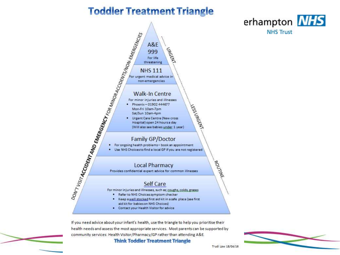#### **Toddler Treatment Triangle**



If you need advice about your infant's health, use the triangle to help you prioritise their health needs and assess the most appropriate services. Most parents can be supported by community services: Health Visitor/Pharmacy/GP rather than attending A&E.

#### **Think Toddler Treatment Triangle**



erhampton **NHS** 

**NHS Trust** 

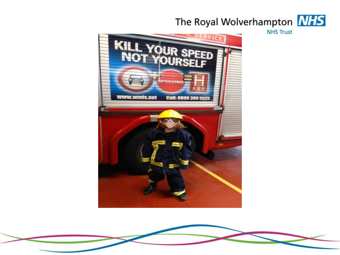#### The Royal Wolverhampton NHS

**NHS Trust** 



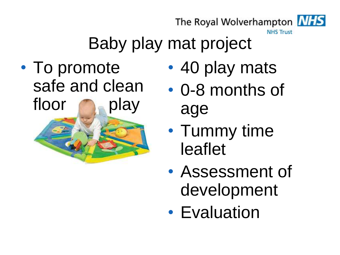

### Baby play mat project

- To promote safe and clean floor **play**
- 40 play mats
- 0-8 months of age
- Tummy time leaflet
- Assessment of development
- Evaluation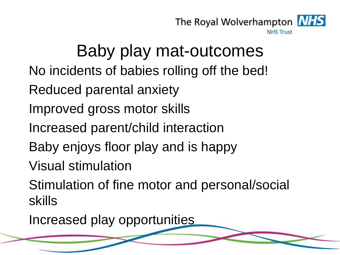

#### Baby play mat-outcomes No incidents of babies rolling off the bed!

- Reduced parental anxiety
- Improved gross motor skills
- Increased parent/child interaction
- Baby enjoys floor play and is happy
- Visual stimulation
- Stimulation of fine motor and personal/social skills

Increased play opportunities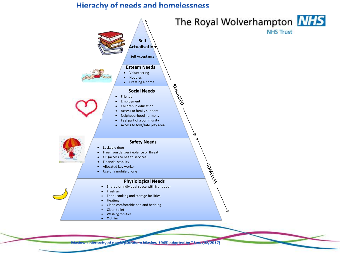#### **Hierachy of needs and homelessness**



lasiow's hierarchy of needs (Abraham Maslow 1943) adapted by T Lew (02/2017)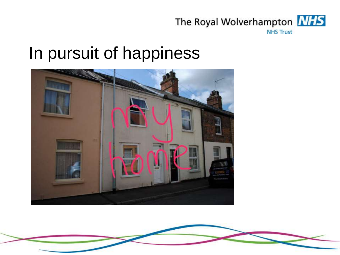

#### In pursuit of happiness



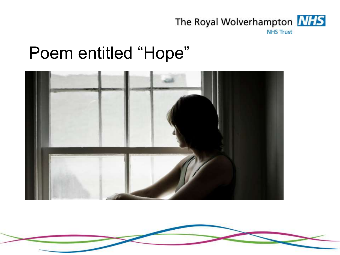

#### Poem entitled "Hope"

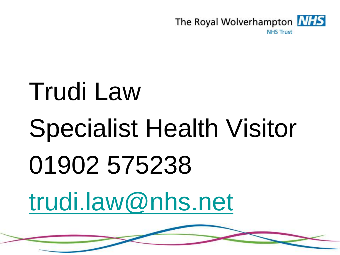

# Trudi Law Specialist Health Visitor 01902 575238 [trudi.law@nhs.net](mailto:trudi.law@nhs.net)